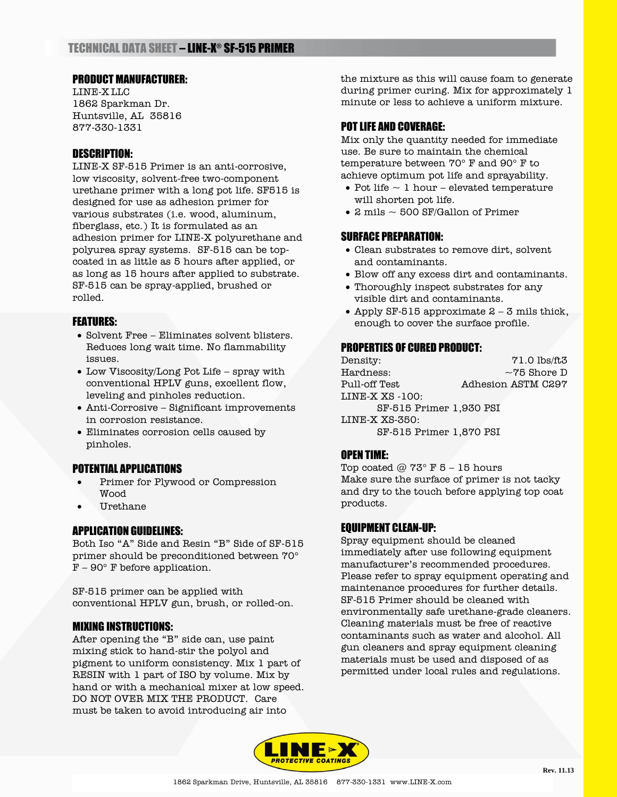### PRODUCT MANUFACTURER:

LINE-X LLC 1862 Sparkman Dr. Huntsville, AL 35816 877-330-1331

# DESCRIPTION:

LINE-X SF-515 Primer is an anti-corrosive, low viscosity, solvent-free two-component urethane primer with a long pot life. SF515 is designed for use as adhesion primer for various substrates (i.e. wood, aluminum, fiberglass, etc.) It is formulated as an adhesion primer for LINE-X polyurethane and polyurea spray systems. SF-515 can be topcoated in as little as 5 hours after applied, or as long as 15 hours after applied to substrate. SF-515 can be spray-applied, brushed or rolled.

# FEATURES:

- Solvent Free Eliminates solvent blisters. Reduces long wait time. No flammability issues.
- Low Viscosity/Long Pot Life spray with conventional HPLV guns, excellent flow, leveling and pinholes reduction.
- Anti-Corrosive Significant improvements in corrosion resistance.
- Eliminates corrosion cells caused by pinholes.

# POTENTIAL APPLICATIONS

- Primer for Plywood or Compression Wood
- Urethane

#### APPLICATION GUIDELINES:

Both Iso "A" Side and Resin "B" Side of SF-515 primer should be preconditioned between 70°  $F - 90^\circ$  F before application.

SF-515 primer can be applied with conventional HPLV gun, brush, or rolled-on.

### MIXING INSTRUCTIONS:

After opening the "B" side can, use paint mixing stick to hand-stir the polyol and pigment to uniform consistency. Mix 1 part of RESIN with 1 part of ISO by volume. Mix by hand or with a mechanical mixer at low speed. DO NOT OVER MIX THE PRODUCT. Care must be taken to avoid introducing air into

the mixture as this will cause foam to generate during primer curing. Mix for approximately 1 minute or less to achieve a uniform mixture.

# POT LIFE AND COVERAGE:

Mix only the quantity needed for immediate use. Be sure to maintain the chemical temperature between 70° F and 90° F to achieve optimum pot life and sprayability.

- Pot life  $\sim$  1 hour elevated temperature will shorten pot life.
- 2 mils  $\sim$  500 SF/Gallon of Primer

### SURFACE PREPARATION:

- Clean substrates to remove dirt, solvent and contaminants.
- Blow off any excess dirt and contaminants.
- Thoroughly inspect substrates for any visible dirt and contaminants.
- Apply SF-515 approximate  $2 3$  mils thick, enough to cover the surface profile.

#### PROPERTIES OF CURED PRODUCT:

Density:  $71.0 \text{ lbs/ft3}$ Hardness:  $\sim$ 75 Shore D Pull-off Test **Adhesion ASTM C297** LINE-X XS -100: SF-515 Primer 1,930 PSI LINE-X XS-350: SF-515 Primer 1,870 PSI

#### OPEN TIME:

Top coated  $\omega$  73° F 5 – 15 hours Make sure the surface of primer is not tacky and dry to the touch before applying top coat products.

#### EQUIPMENT CLEAN-UP:

Spray equipment should be cleaned immediately after use following equipment manufacturer's recommended procedures. Please refer to spray equipment operating and maintenance procedures for further details. SF-515 Primer should be cleaned with environmentally safe urethane-grade cleaners. Cleaning materials must be free of reactive contaminants such as water and alcohol. All gun cleaners and spray equipment cleaning materials must be used and disposed of as permitted under local rules and regulations.